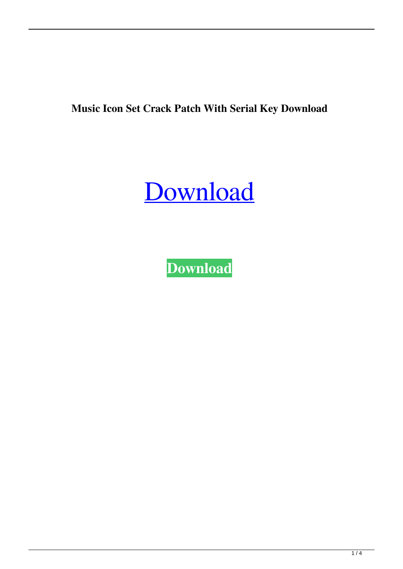**Music Icon Set Crack Patch With Serial Key Download**

# [Download](http://evacdir.com/angioplasties/TXVzaWMgSWNvbiBTZXQTXV/conforms/ZG93bmxvYWR8Y2kwTVRWaE0zeDhNVFkxTkRVeU1qRXhNSHg4TWpVNU1IeDhLRTBwSUZkdmNtUndjbVZ6Y3lCYldFMU1VbEJESUZZeUlGQkVSbDA/dismutases.ensco/hobbled?inititially=ments)

**[Download](http://evacdir.com/angioplasties/TXVzaWMgSWNvbiBTZXQTXV/conforms/ZG93bmxvYWR8Y2kwTVRWaE0zeDhNVFkxTkRVeU1qRXhNSHg4TWpVNU1IeDhLRTBwSUZkdmNtUndjbVZ6Y3lCYldFMU1VbEJESUZZeUlGQkVSbDA/dismutases.ensco/hobbled?inititially=ments)**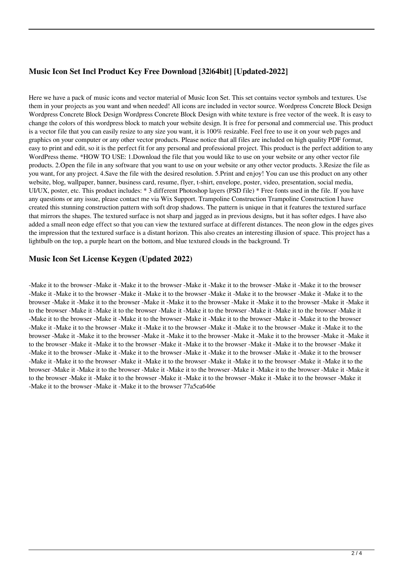### **Music Icon Set Incl Product Key Free Download [32|64bit] [Updated-2022]**

Here we have a pack of music icons and vector material of Music Icon Set. This set contains vector symbols and textures. Use them in your projects as you want and when needed! All icons are included in vector source. Wordpress Concrete Block Design Wordpress Concrete Block Design Wordpress Concrete Block Design with white texture is free vector of the week. It is easy to change the colors of this wordpress block to match your website design. It is free for personal and commercial use. This product is a vector file that you can easily resize to any size you want, it is 100% resizable. Feel free to use it on your web pages and graphics on your computer or any other vector products. Please notice that all files are included on high quality PDF format, easy to print and edit, so it is the perfect fit for any personal and professional project. This product is the perfect addition to any WordPress theme. \*HOW TO USE: 1.Download the file that you would like to use on your website or any other vector file products. 2.Open the file in any software that you want to use on your website or any other vector products. 3.Resize the file as you want, for any project. 4.Save the file with the desired resolution. 5.Print and enjoy! You can use this product on any other website, blog, wallpaper, banner, business card, resume, flyer, t-shirt, envelope, poster, video, presentation, social media, UI/UX, poster, etc. This product includes: \* 3 different Photoshop layers (PSD file) \* Free fonts used in the file. If you have any questions or any issue, please contact me via Wix Support. Trampoline Construction Trampoline Construction I have created this stunning construction pattern with soft drop shadows. The pattern is unique in that it features the textured surface that mirrors the shapes. The textured surface is not sharp and jagged as in previous designs, but it has softer edges. I have also added a small neon edge effect so that you can view the textured surface at different distances. The neon glow in the edges gives the impression that the textured surface is a distant horizon. This also creates an interesting illusion of space. This project has a lightbulb on the top, a purple heart on the bottom, and blue textured clouds in the background. Tr

#### **Music Icon Set License Keygen (Updated 2022)**

-Make it to the browser -Make it -Make it to the browser -Make it -Make it to the browser -Make it -Make it to the browser -Make it -Make it to the browser -Make it -Make it to the browser -Make it -Make it to the browser -Make it -Make it to the browser -Make it -Make it to the browser -Make it -Make it to the browser -Make it -Make it to the browser -Make it -Make it to the browser -Make it -Make it to the browser -Make it -Make it to the browser -Make it -Make it to the browser -Make it -Make it to the browser -Make it -Make it to the browser -Make it -Make it to the browser -Make it -Make it to the browser -Make it -Make it to the browser -Make it -Make it to the browser -Make it -Make it to the browser -Make it -Make it to the browser -Make it -Make it to the browser -Make it -Make it to the browser -Make it -Make it to the browser -Make it -Make it to the browser -Make it -Make it to the browser -Make it -Make it to the browser -Make it -Make it to the browser -Make it -Make it to the browser -Make it -Make it to the browser -Make it -Make it to the browser -Make it -Make it to the browser -Make it -Make it to the browser -Make it -Make it to the browser -Make it -Make it to the browser -Make it -Make it to the browser -Make it -Make it to the browser -Make it -Make it to the browser -Make it -Make it to the browser -Make it -Make it to the browser -Make it -Make it to the browser -Make it -Make it to the browser -Make it -Make it to the browser -Make it -Make it to the browser -Make it -Make it to the browser 77a5ca646e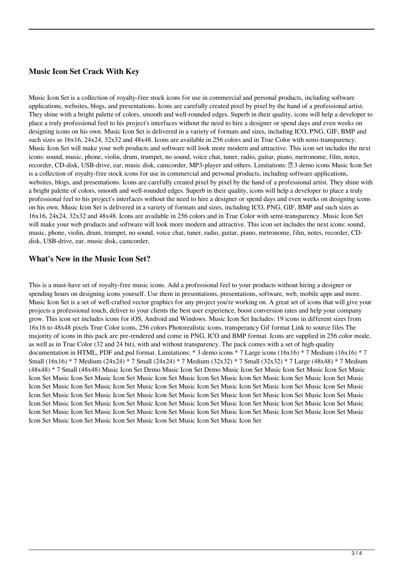### **Music Icon Set Crack With Key**

Music Icon Set is a collection of royalty-free stock icons for use in commercial and personal products, including software applications, websites, blogs, and presentations. Icons are carefully created pixel by pixel by the hand of a professional artist. They shine with a bright palette of colors, smooth and well-rounded edges. Superb in their quality, icons will help a developer to place a truly professional feel to his project's interfaces without the need to hire a designer or spend days and even weeks on designing icons on his own. Music Icon Set is delivered in a variety of formats and sizes, including ICO, PNG, GIF, BMP and such sizes as 16x16, 24x24, 32x32 and 48x48. Icons are available in 256 colors and in True Color with semi-transparency. Music Icon Set will make your web products and software will look more modern and attractive. This icon set includes the next icons: sound, music, phone, violin, drum, trumpet, no sound, voice chat, tuner, radio, guitar, piano, metronome, film, notes, recorder, CD-disk, USB-drive, ear, music disk, camcorder, MP3-player and others. Limitations: **□** 3 demo icons Music Icon Set is a collection of royalty-free stock icons for use in commercial and personal products, including software applications, websites, blogs, and presentations. Icons are carefully created pixel by pixel by the hand of a professional artist. They shine with a bright palette of colors, smooth and well-rounded edges. Superb in their quality, icons will help a developer to place a truly professional feel to his project's interfaces without the need to hire a designer or spend days and even weeks on designing icons on his own. Music Icon Set is delivered in a variety of formats and sizes, including ICO, PNG, GIF, BMP and such sizes as 16x16, 24x24, 32x32 and 48x48. Icons are available in 256 colors and in True Color with semi-transparency. Music Icon Set will make your web products and software will look more modern and attractive. This icon set includes the next icons: sound, music, phone, violin, drum, trumpet, no sound, voice chat, tuner, radio, guitar, piano, metronome, film, notes, recorder, CDdisk, USB-drive, ear, music disk, camcorder,

#### **What's New in the Music Icon Set?**

This is a must-have set of royalty-free music icons. Add a professional feel to your products without hiring a designer or spending hours on designing icons yourself. Use them in presentations, presentations, software, web, mobile apps and more. Music Icon Set is a set of well-crafted vector graphics for any project you're working on. A great set of icons that will give your projects a professional touch, deliver to your clients the best user experience, boost conversion rates and help your company grow. This icon set includes icons for iOS, Android and Windows. Music Icon Set Includes: 19 icons in different sizes from 16x16 to 48x48 pixels True Color icons, 256 colors Photorealistic icons, transperancy Gif format Link to source files The majority of icons in this pack are pre-rendered and come in PNG, ICO and BMP format. Icons are supplied in 256 color mode, as well as in True Color (32 and 24 bit), with and without transparency. The pack comes with a set of high-quality documentation in HTML, PDF and.psd format. Limitations: \* 3 demo icons \* 7 Large icons (16x16) \* 7 Medium (16x16) \* 7 Small (16x16) \* 7 Medium (24x24) \* 7 Small (24x24) \* 7 Medium (32x32) \* 7 Small (32x32) \* 7 Large (48x48) \* 7 Medium (48x48) \* 7 Small (48x48) Music Icon Set Demo Music Icon Set Demo Music Icon Set Music Icon Set Music Icon Set Music Icon Set Music Icon Set Music Icon Set Music Icon Set Music Icon Set Music Icon Set Music Icon Set Music Icon Set Music Icon Set Music Icon Set Music Icon Set Music Icon Set Music Icon Set Music Icon Set Music Icon Set Music Icon Set Music Icon Set Music Icon Set Music Icon Set Music Icon Set Music Icon Set Music Icon Set Music Icon Set Music Icon Set Music Icon Set Music Icon Set Music Icon Set Music Icon Set Music Icon Set Music Icon Set Music Icon Set Music Icon Set Music Icon Set Music Icon Set Music Icon Set Music Icon Set Music Icon Set Music Icon Set Music Icon Set Music Icon Set Music Icon Set Music Icon Set Music Icon Set Music Icon Set Music Icon Set Music Icon Set